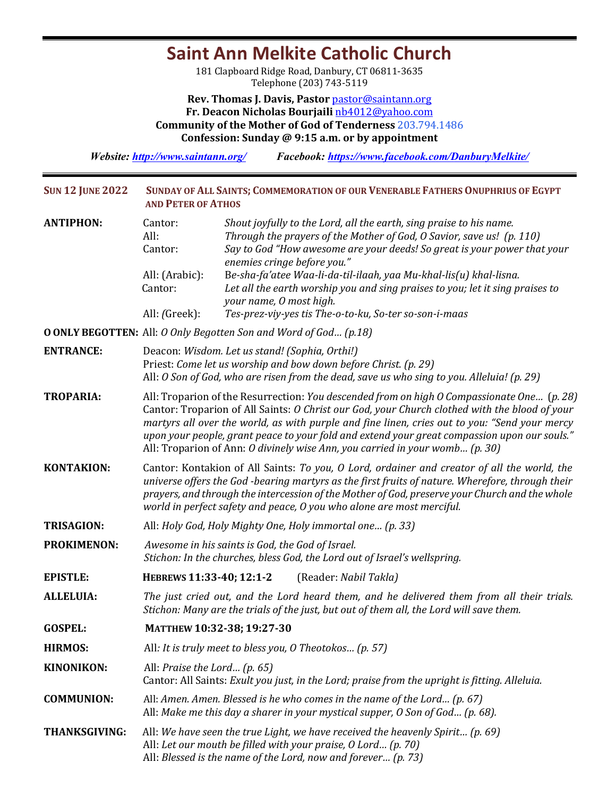## **Saint Ann Melkite Catholic Church**

181 Clapboard Ridge Road, Danbury, CT 06811-3635 Telephone (203) 743-5119

**Rev. Thomas J. Davis, Pastor** pastor@saintann.org **Fr. Deacon Nicholas Bourjaili** nb4012@yahoo.com **Community of the Mother of God of Tenderness 203.794.1486 Confession: Sunday @ 9:15 a.m. or by appointment**

*Website: http://www.saintann.org/ Facebook: https://www.facebook.com/DanburyMelkite/* 

| <b>SUN 12 JUNE 2022</b> | SUNDAY OF ALL SAINTS; COMMEMORATION OF OUR VENERABLE FATHERS ONUPHRIUS OF EGYPT<br><b>AND PETER OF ATHOS</b>                                                                                                                                                                                                                                                                                                                                                                 |                                                                                                                                                                                                                                                                                                                                                                                                                                                                                                     |  |  |  |
|-------------------------|------------------------------------------------------------------------------------------------------------------------------------------------------------------------------------------------------------------------------------------------------------------------------------------------------------------------------------------------------------------------------------------------------------------------------------------------------------------------------|-----------------------------------------------------------------------------------------------------------------------------------------------------------------------------------------------------------------------------------------------------------------------------------------------------------------------------------------------------------------------------------------------------------------------------------------------------------------------------------------------------|--|--|--|
| <b>ANTIPHON:</b>        | Cantor:<br>All:<br>Cantor:<br>All: (Arabic):<br>Cantor:<br>All: (Greek):                                                                                                                                                                                                                                                                                                                                                                                                     | Shout joyfully to the Lord, all the earth, sing praise to his name.<br>Through the prayers of the Mother of God, O Savior, save us! (p. 110)<br>Say to God "How awesome are your deeds! So great is your power that your<br>enemies cringe before you."<br>Be-sha-fa'atee Waa-li-da-til-ilaah, yaa Mu-khal-lis(u) khal-lisna.<br>Let all the earth worship you and sing praises to you; let it sing praises to<br>your name, O most high.<br>Tes-prez-viy-yes tis The-o-to-ku, So-ter so-son-i-maas |  |  |  |
|                         |                                                                                                                                                                                                                                                                                                                                                                                                                                                                              | <b>O ONLY BEGOTTEN:</b> All: O Only Begotten Son and Word of God (p.18)                                                                                                                                                                                                                                                                                                                                                                                                                             |  |  |  |
| <b>ENTRANCE:</b>        | Deacon: Wisdom. Let us stand! (Sophia, Orthi!)<br>Priest: Come let us worship and bow down before Christ. (p. 29)<br>All: O Son of God, who are risen from the dead, save us who sing to you. Alleluia! (p. 29)                                                                                                                                                                                                                                                              |                                                                                                                                                                                                                                                                                                                                                                                                                                                                                                     |  |  |  |
| <b>TROPARIA:</b>        | All: Troparion of the Resurrection: You descended from on high O Compassionate One (p. 28)<br>Cantor: Troparion of All Saints: O Christ our God, your Church clothed with the blood of your<br>martyrs all over the world, as with purple and fine linen, cries out to you: "Send your mercy<br>upon your people, grant peace to your fold and extend your great compassion upon our souls."<br>All: Troparion of Ann: O divinely wise Ann, you carried in your womb (p. 30) |                                                                                                                                                                                                                                                                                                                                                                                                                                                                                                     |  |  |  |
| <b>KONTAKION:</b>       | Cantor: Kontakion of All Saints: To you, O Lord, ordainer and creator of all the world, the<br>universe offers the God-bearing martyrs as the first fruits of nature. Wherefore, through their<br>prayers, and through the intercession of the Mother of God, preserve your Church and the whole<br>world in perfect safety and peace, O you who alone are most merciful.                                                                                                    |                                                                                                                                                                                                                                                                                                                                                                                                                                                                                                     |  |  |  |
| <b>TRISAGION:</b>       | All: Holy God, Holy Mighty One, Holy immortal one (p. 33)                                                                                                                                                                                                                                                                                                                                                                                                                    |                                                                                                                                                                                                                                                                                                                                                                                                                                                                                                     |  |  |  |
| <b>PROKIMENON:</b>      | Awesome in his saints is God, the God of Israel.<br>Stichon: In the churches, bless God, the Lord out of Israel's wellspring.                                                                                                                                                                                                                                                                                                                                                |                                                                                                                                                                                                                                                                                                                                                                                                                                                                                                     |  |  |  |
| <b>EPISTLE:</b>         | HEBREWS 11:33-40; 12:1-2                                                                                                                                                                                                                                                                                                                                                                                                                                                     | (Reader: Nabil Takla)                                                                                                                                                                                                                                                                                                                                                                                                                                                                               |  |  |  |
| <b>ALLELUIA:</b>        |                                                                                                                                                                                                                                                                                                                                                                                                                                                                              | The just cried out, and the Lord heard them, and he delivered them from all their trials.<br>Stichon: Many are the trials of the just, but out of them all, the Lord will save them.                                                                                                                                                                                                                                                                                                                |  |  |  |
| <b>GOSPEL:</b>          | MATTHEW 10:32-38; 19:27-30                                                                                                                                                                                                                                                                                                                                                                                                                                                   |                                                                                                                                                                                                                                                                                                                                                                                                                                                                                                     |  |  |  |
| <b>HIRMOS:</b>          | All: It is truly meet to bless you, O Theotokos (p. 57)                                                                                                                                                                                                                                                                                                                                                                                                                      |                                                                                                                                                                                                                                                                                                                                                                                                                                                                                                     |  |  |  |
| <b>KINONIKON:</b>       | All: Praise the Lord $(p. 65)$<br>Cantor: All Saints: Exult you just, in the Lord; praise from the upright is fitting. Alleluia.                                                                                                                                                                                                                                                                                                                                             |                                                                                                                                                                                                                                                                                                                                                                                                                                                                                                     |  |  |  |
| <b>COMMUNION:</b>       | All: Amen. Amen. Blessed is he who comes in the name of the Lord (p. 67)<br>All: Make me this day a sharer in your mystical supper, O Son of God (p. 68).                                                                                                                                                                                                                                                                                                                    |                                                                                                                                                                                                                                                                                                                                                                                                                                                                                                     |  |  |  |
| <b>THANKSGIVING:</b>    | All: We have seen the true Light, we have received the heavenly Spirit (p. 69)<br>All: Let our mouth be filled with your praise, O Lord (p. 70)<br>All: Blessed is the name of the Lord, now and forever (p. 73)                                                                                                                                                                                                                                                             |                                                                                                                                                                                                                                                                                                                                                                                                                                                                                                     |  |  |  |